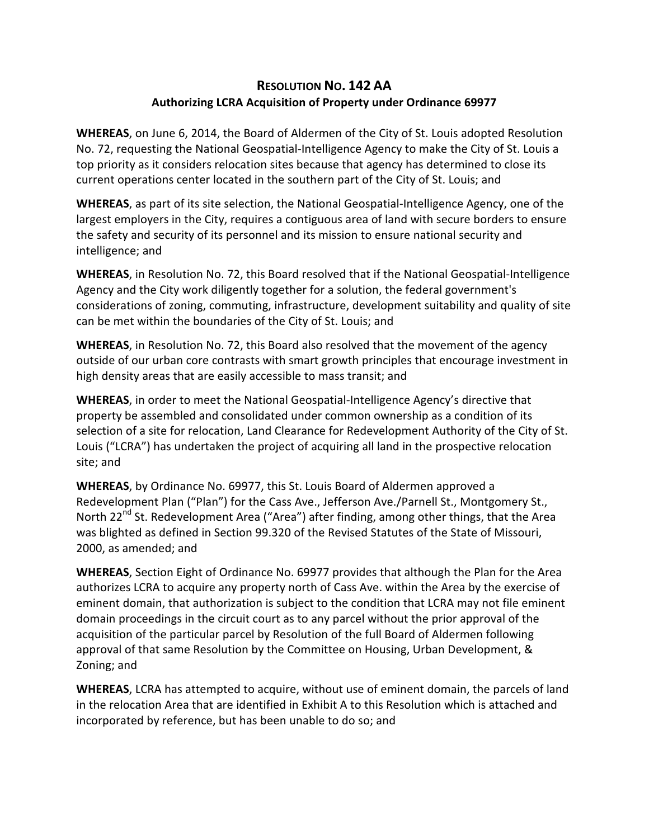## **RESOLUTION NO. 142 AA Authorizing LCRA Acquisition of Property under Ordinance 69977**

**WHEREAS**, on June 6, 2014, the Board of Aldermen of the City of St. Louis adopted Resolution No. 72, requesting the National Geospatial-Intelligence Agency to make the City of St. Louis a top priority as it considers relocation sites because that agency has determined to close its current operations center located in the southern part of the City of St. Louis; and

**WHEREAS**, as part of its site selection, the National Geospatial-Intelligence Agency, one of the largest employers in the City, requires a contiguous area of land with secure borders to ensure the safety and security of its personnel and its mission to ensure national security and intelligence; and

**WHEREAS**, in Resolution No. 72, this Board resolved that if the National Geospatial-Intelligence Agency and the City work diligently together for a solution, the federal government's considerations of zoning, commuting, infrastructure, development suitability and quality of site can be met within the boundaries of the City of St. Louis; and

**WHEREAS**, in Resolution No. 72, this Board also resolved that the movement of the agency outside of our urban core contrasts with smart growth principles that encourage investment in high density areas that are easily accessible to mass transit; and

**WHEREAS**, in order to meet the National Geospatial-Intelligence Agency's directive that property be assembled and consolidated under common ownership as a condition of its selection of a site for relocation, Land Clearance for Redevelopment Authority of the City of St. Louis ("LCRA") has undertaken the project of acquiring all land in the prospective relocation site; and

**WHEREAS**, by Ordinance No. 69977, this St. Louis Board of Aldermen approved a Redevelopment Plan ("Plan") for the Cass Ave., Jefferson Ave./Parnell St., Montgomery St., North 22<sup>nd</sup> St. Redevelopment Area ("Area") after finding, among other things, that the Area was blighted as defined in Section 99.320 of the Revised Statutes of the State of Missouri, 2000, as amended; and

**WHEREAS**, Section Eight of Ordinance No. 69977 provides that although the Plan for the Area authorizes LCRA to acquire any property north of Cass Ave. within the Area by the exercise of eminent domain, that authorization is subject to the condition that LCRA may not file eminent domain proceedings in the circuit court as to any parcel without the prior approval of the acquisition of the particular parcel by Resolution of the full Board of Aldermen following approval of that same Resolution by the Committee on Housing, Urban Development, & Zoning; and

**WHEREAS**, LCRA has attempted to acquire, without use of eminent domain, the parcels of land in the relocation Area that are identified in Exhibit A to this Resolution which is attached and incorporated by reference, but has been unable to do so; and